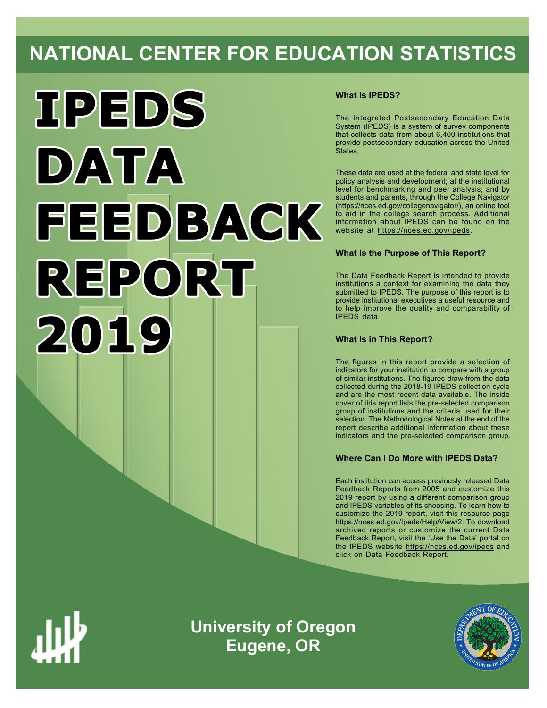# **NATIONAL CENTER FOR EDUCATION STATISTICS**



# **What Is IPEDS?**

The Integrated Postsecondary Education Data System (IPEDS) is a system of survey components that collects data from about 6,400 institutions that provide postsecondary education across the United States.

These data are used at the federal and state level for policy analysis and development; at the institutional level for benchmarking and peer analysis; and by students and parents, through the College Navigator ([https://nces.ed.gov/collegenavigator/\)](https://nces.ed.gov/collegenavigator/), an online tool to aid in the college search process. Additional information about IPEDS can be found on the website at<https://nces.ed.gov/ipeds>.

# **What Is the Purpose of This Report?**

The Data Feedback Report is intended to provide institutions a context for examining the data they submitted to IPEDS. The purpose of this report is to provide institutional executives a useful resource and to help improve the quality and comparability of IPEDS data.

# **What Is in This Report?**

The figures in this report provide a selection of indicators for your institution to compare with a group of similar institutions. The figures draw from the data collected during the 2018-19 IPEDS collection cycle and are the most recent data available. The inside cover of this report lists the pre-selected comparison group of institutions and the criteria used for their selection. The Methodological Notes at the end of the report describe additional information about these indicators and the pre-selected comparison group.

# **Where Can I Do More with IPEDS Data?**

Each institution can access previously released Data Feedback Reports from 2005 and customize this 2019 report by using a different comparison group and IPEDS variables of its choosing. To learn how to customize the 2019 report, visit this resource page <https://nces.ed.gov/Ipeds/Help/View/2>. To download archived reports or customize the current Data Feedback Report, visit the 'Use the Data' portal on the IPEDS website<https://nces.ed.gov/ipeds> and click on Data Feedback Report.



**University of Oregon Eugene, OR**

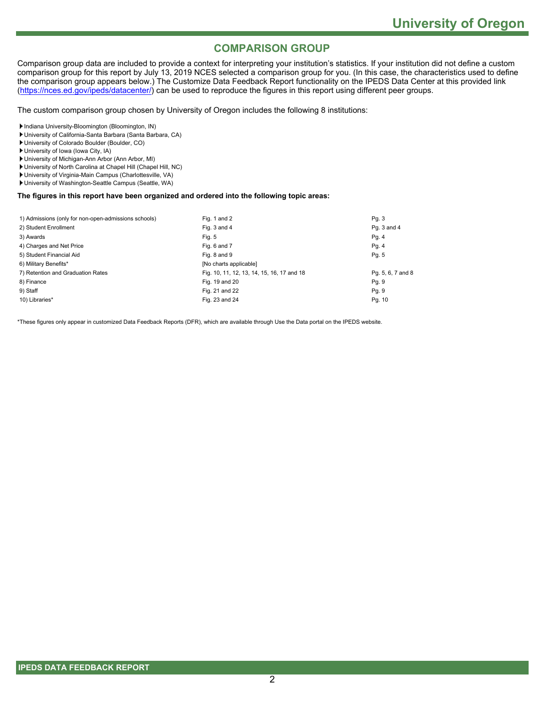# **COMPARISON GROUP**

Comparison group data are included to provide a context for interpreting your institution's statistics. If your institution did not define a custom comparison group for this report by July 13, 2019 NCES selected a comparison group for you. (In this case, the characteristics used to define the comparison group appears below.) The Customize Data Feedback Report functionality on the IPEDS Data Center at this provided link [\(https://nces.ed.gov/ipeds/datacenter/](https://nces.ed.gov/ipeds/datacenter/)) can be used to reproduce the figures in this report using different peer groups.

The custom comparison group chosen by University of Oregon includes the following 8 institutions:

Indiana University-Bloomington (Bloomington, IN)

- University of California-Santa Barbara (Santa Barbara, CA)
- University of Colorado Boulder (Boulder, CO)
- University of Iowa (Iowa City, IA)
- University of Michigan-Ann Arbor (Ann Arbor, MI)
- University of North Carolina at Chapel Hill (Chapel Hill, NC)
- University of Virginia-Main Campus (Charlottesville, VA)
- University of Washington-Seattle Campus (Seattle, WA)

# **The figures in this report have been organized and ordered into the following topic areas:**

| 1) Admissions (only for non-open-admissions schools) | Fig. 1 and 2                               | Pg.3              |
|------------------------------------------------------|--------------------------------------------|-------------------|
| 2) Student Enrollment                                | Fig. 3 and 4                               | Pq. 3 and 4       |
| 3) Awards                                            | Fig. 5                                     | Pg. 4             |
| 4) Charges and Net Price                             | Fig. 6 and 7                               | Pg. 4             |
| 5) Student Financial Aid                             | Fig. 8 and 9                               | Pg. 5             |
| 6) Military Benefits*                                | [No charts applicable]                     |                   |
| 7) Retention and Graduation Rates                    | Fig. 10, 11, 12, 13, 14, 15, 16, 17 and 18 | Pg. 5, 6, 7 and 8 |
| 8) Finance                                           | Fig. 19 and 20                             | Pg. 9             |
| 9) Staff                                             | Fig. 21 and 22                             | Pg. 9             |
| 10) Libraries*                                       | Fig. 23 and 24                             | Pg. 10            |

\*These figures only appear in customized Data Feedback Reports (DFR), which are available through Use the Data portal on the IPEDS website.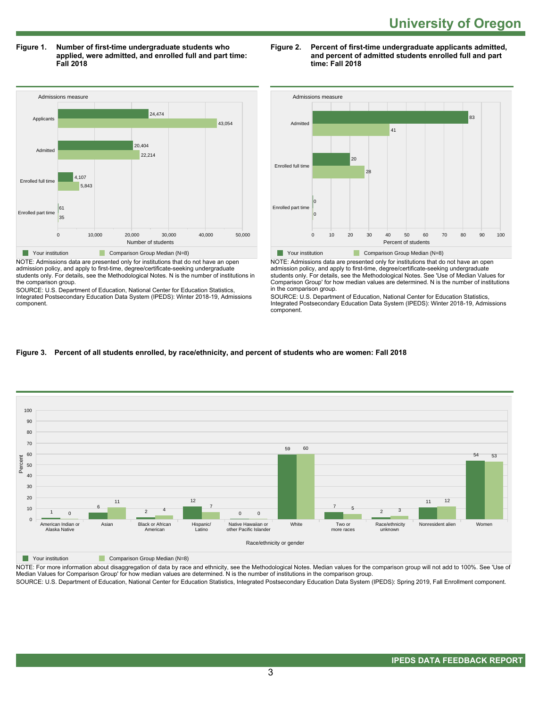**Figure 1. Number of first-time undergraduate students who applied, were admitted, and enrolled full and part time: Fall 2018**



NOTE: Admissions data are presented only for institutions that do not have an open admission policy, and apply to first-time, degree/certificate-seeking undergraduate students only. For details, see the Methodological Notes. N is the number of institutions in the comparison group.

SOURCE: U.S. Department of Education, National Center for Education Statistics, Integrated Postsecondary Education Data System (IPEDS): Winter 2018-19, Admissions component.

### **Figure 2. Percent of first-time undergraduate applicants admitted, and percent of admitted students enrolled full and part time: Fall 2018**



NOTE: Admissions data are presented only for institutions that do not have an open admission policy, and apply to first-time, degree/certificate-seeking undergraduate students only. For details, see the Methodological Notes. See 'Use of Median Values for Comparison Group' for how median values are determined. N is the number of institutions in the comparison group.

SOURCE: U.S. Department of Education, National Center for Education Statistics, Integrated Postsecondary Education Data System (IPEDS): Winter 2018-19, Admissions component.

# **Figure 3. Percent of all students enrolled, by race/ethnicity, and percent of students who are women: Fall 2018**



Your institution Comparison Group Median (N=8)

NOTE: For more information about disaggregation of data by race and ethnicity, see the Methodological Notes. Median values for the comparison group will not add to 100%. See 'Use of Median Values for Comparison Group' for how median values are determined. N is the number of institutions in the comparison group.

SOURCE: U.S. Department of Education, National Center for Education Statistics, Integrated Postsecondary Education Data System (IPEDS): Spring 2019, Fall Enrollment component.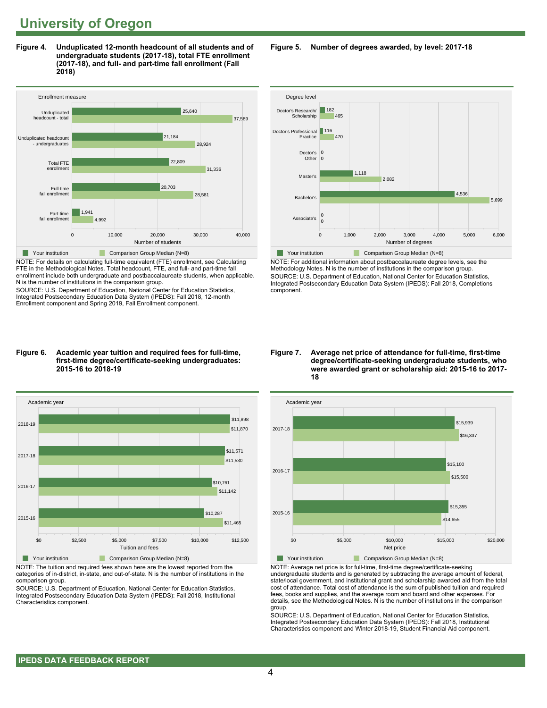**Figure 4. Unduplicated 12-month headcount of all students and of undergraduate students (2017-18), total FTE enrollment (2017-18), and full- and part-time fall enrollment (Fall 2018)**



NOTE: For details on calculating full-time equivalent (FTE) enrollment, see Calculating FTE in the Methodological Notes. Total headcount, FTE, and full- and part-time fall enrollment include both undergraduate and postbaccalaureate students, when applicable. N is the number of institutions in the comparison group.

SOURCE: U.S. Department of Education, National Center for Education Statistics, Integrated Postsecondary Education Data System (IPEDS): Fall 2018, 12-month Enrollment component and Spring 2019, Fall Enrollment component.

#### **Figure 6. Academic year tuition and required fees for full-time, first-time degree/certificate-seeking undergraduates: 2015-16 to 2018-19**



NOTE: The tuition and required fees shown here are the lowest reported from the categories of in-district, in-state, and out-of-state. N is the number of institutions in the comparison group.

SOURCE: U.S. Department of Education, National Center for Education Statistics, Integrated Postsecondary Education Data System (IPEDS): Fall 2018, Institutional Characteristics component.

**Figure 5. Number of degrees awarded, by level: 2017-18**



NOTE: For additional information about postbaccalaureate degree levels, see the Methodology Notes. N is the number of institutions in the comparison group. SOURCE: U.S. Department of Education, National Center for Education Statistics, Integrated Postsecondary Education Data System (IPEDS): Fall 2018, Completions component.

#### **Figure 7. Average net price of attendance for full-time, first-time degree/certificate-seeking undergraduate students, who were awarded grant or scholarship aid: 2015-16 to 2017- 18**



NOTE: Average net price is for full-time, first-time degree/certificate-seeking undergraduate students and is generated by subtracting the average amount of federal, state/local government, and institutional grant and scholarship awarded aid from the total cost of attendance. Total cost of attendance is the sum of published tuition and required fees, books and supplies, and the average room and board and other expenses. For details, see the Methodological Notes. N is the number of institutions in the comparison group.

SOURCE: U.S. Department of Education, National Center for Education Statistics, Integrated Postsecondary Education Data System (IPEDS): Fall 2018, Institutional Characteristics component and Winter 2018-19, Student Financial Aid component.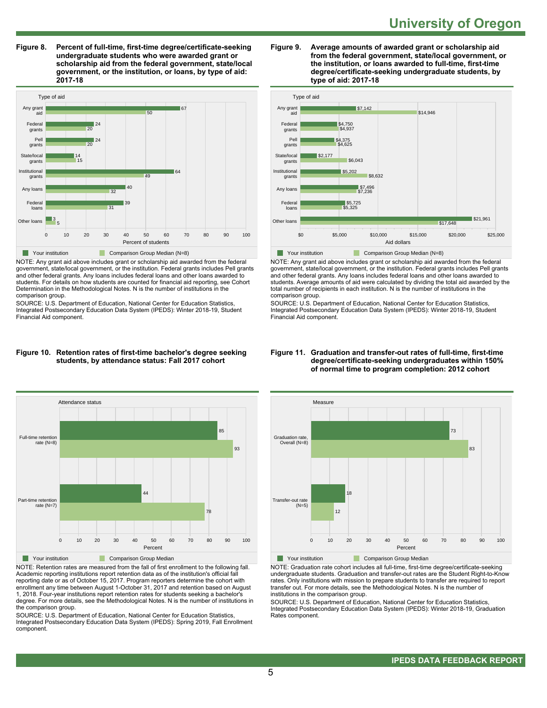**Figure 8. Percent of full-time, first-time degree/certificate-seeking undergraduate students who were awarded grant or scholarship aid from the federal government, state/local government, or the institution, or loans, by type of aid: 2017-18**



NOTE: Any grant aid above includes grant or scholarship aid awarded from the federal government, state/local government, or the institution. Federal grants includes Pell grants and other federal grants. Any loans includes federal loans and other loans awarded to students. For details on how students are counted for financial aid reporting, see Cohort Determination in the Methodological Notes. N is the number of institutions in the comparison group.

SOURCE: U.S. Department of Education, National Center for Education Statistics, Integrated Postsecondary Education Data System (IPEDS): Winter 2018-19, Student Financial Aid component.

#### **Figure 10. Retention rates of first-time bachelor's degree seeking students, by attendance status: Fall 2017 cohort**



NOTE: Retention rates are measured from the fall of first enrollment to the following fall. Academic reporting institutions report retention data as of the institution's official fall reporting date or as of October 15, 2017. Program reporters determine the cohort with enrollment any time between August 1-October 31, 2017 and retention based on August 1, 2018. Four-year institutions report retention rates for students seeking a bachelor's degree. For more details, see the Methodological Notes. N is the number of institutions in the comparison group.

SOURCE: U.S. Department of Education, National Center for Education Statistics, Integrated Postsecondary Education Data System (IPEDS): Spring 2019, Fall Enrollment component.





NOTE: Any grant aid above includes grant or scholarship aid awarded from the federal government, state/local government, or the institution. Federal grants includes Pell grants and other federal grants. Any loans includes federal loans and other loans awarded to students. Average amounts of aid were calculated by dividing the total aid awarded by the total number of recipients in each institution. N is the number of institutions in the comparison group.

SOURCE: U.S. Department of Education, National Center for Education Statistics, Integrated Postsecondary Education Data System (IPEDS): Winter 2018-19, Student Financial Aid component.



NOTE: Graduation rate cohort includes all full-time, first-time degree/certificate-seeking undergraduate students. Graduation and transfer-out rates are the Student Right-to-Know rates. Only institutions with mission to prepare students to transfer are required to report transfer out. For more details, see the Methodological Notes. N is the number of institutions in the comparison group.

SOURCE: U.S. Department of Education, National Center for Education Statistics, Integrated Postsecondary Education Data System (IPEDS): Winter 2018-19, Graduation Rates component.

### **Figure 11. Graduation and transfer-out rates of full-time, first-time degree/certificate-seeking undergraduates within 150% of normal time to program completion: 2012 cohort**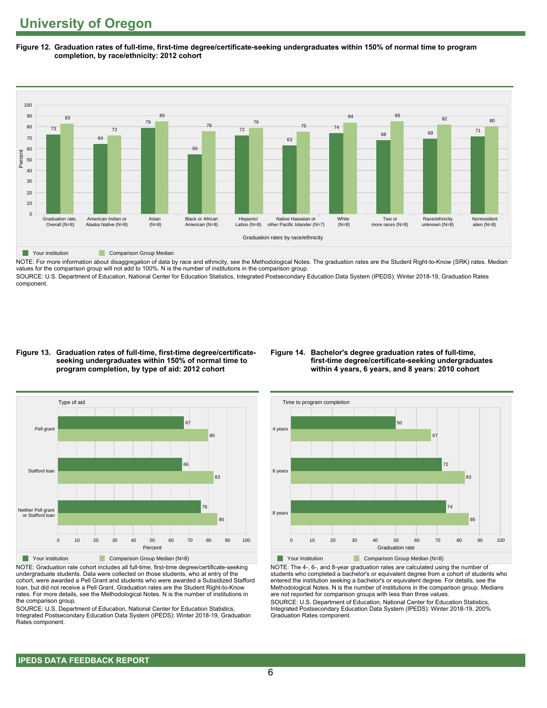**Figure 12. Graduation rates of full-time, first-time degree/certificate-seeking undergraduates within 150% of normal time to program completion, by race/ethnicity: 2012 cohort**



NOTE: For more information about disaggregation of data by race and ethnicity, see the Methodological Notes. The graduation rates are the Student Right-to-Know (SRK) rates. Median values for the comparison group will not add to 100%. N is the number of institutions in the comparison group.

SOURCE: U.S. Department of Education, National Center for Education Statistics, Integrated Postsecondary Education Data System (IPEDS): Winter 2018-19, Graduation Rates component.

#### **Figure 13. Graduation rates of full-time, first-time degree/certificateseeking undergraduates within 150% of normal time to program completion, by type of aid: 2012 cohort**

## **Figure 14. Bachelor's degree graduation rates of full-time, first-time degree/certificate-seeking undergraduates within 4 years, 6 years, and 8 years: 2010 cohort**



NOTE: Graduation rate cohort includes all full-time, first-time degree/certificate-seeking undergraduate students. Data were collected on those students, who at entry of the cohort, were awarded a Pell Grant and students who were awarded a Subsidized Stafford loan, but did not receive a Pell Grant. Graduation rates are the Student Right-to-Know rates. For more details, see the Methodological Notes. N is the number of institutions in the comparison group.

SOURCE: U.S. Department of Education, National Center for Education Statistics, Integrated Postsecondary Education Data System (IPEDS): Winter 2018-19, Graduation Rates component.



NOTE: The 4-, 6-, and 8-year graduation rates are calculated using the number of students who completed a bachelor's or equivalent degree from a cohort of students who entered the institution seeking a bachelor's or equivalent degree. For details, see the Methodological Notes. N is the number of institutions in the comparison group. Medians are not reported for comparison groups with less than three values.

SOURCE: U.S. Department of Education, National Center for Education Statistics, Integrated Postsecondary Education Data System (IPEDS): Winter 2018-19, 200% Graduation Rates component.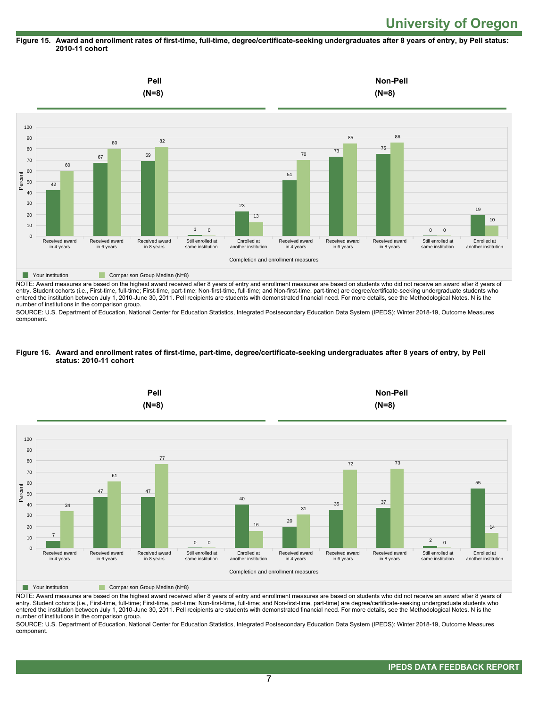## **Figure 15. Award and enrollment rates of first-time, full-time, degree/certificate-seeking undergraduates after 8 years of entry, by Pell status: 2010-11 cohort**



NOTE: Award measures are based on the highest award received after 8 years of entry and enrollment measures are based on students who did not receive an award after 8 years of entry. Student cohorts (i.e., First-time, full-time; First-time, part-time; Non-first-time, full-time; and Non-first-time, part-time) are degree/certificate-seeking undergraduate students who entered the institution between July 1, 2010-June 30, 2011. Pell recipients are students with demonstrated financial need. For more details, see the Methodological Notes. N is the number of institutions in the comparison group.

SOURCE: U.S. Department of Education, National Center for Education Statistics, Integrated Postsecondary Education Data System (IPEDS): Winter 2018-19, Outcome Measures component.

#### **Figure 16. Award and enrollment rates of first-time, part-time, degree/certificate-seeking undergraduates after 8 years of entry, by Pell status: 2010-11 cohort**



NOTE: Award measures are based on the highest award received after 8 years of entry and enrollment measures are based on students who did not receive an award after 8 years of entry. Student cohorts (i.e., First-time, full-time; First-time, part-time; Non-first-time, full-time; and Non-first-time, part-time) are degree/certificate-seeking undergraduate students who entered the institution between July 1, 2010-June 30, 2011. Pell recipients are students with demonstrated financial need. For more details, see the Methodological Notes. N is the number of institutions in the comparison group.

SOURCE: U.S. Department of Education, National Center for Education Statistics, Integrated Postsecondary Education Data System (IPEDS): Winter 2018-19, Outcome Measures component.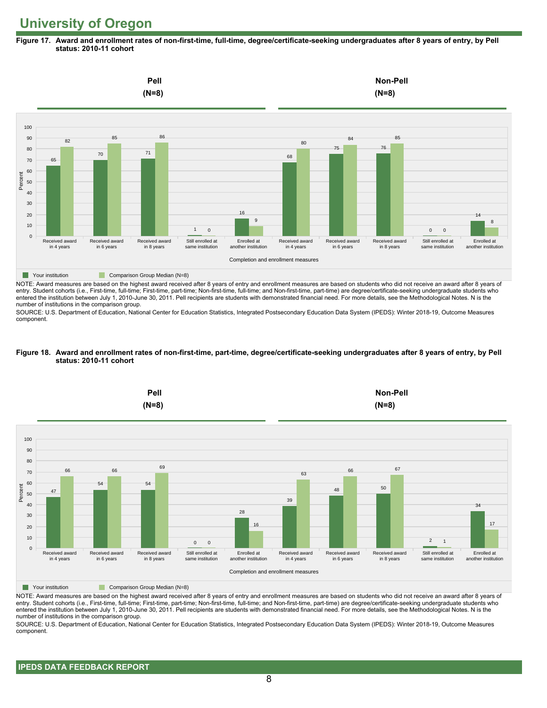**Figure 17. Award and enrollment rates of non-first-time, full-time, degree/certificate-seeking undergraduates after 8 years of entry, by Pell status: 2010-11 cohort**



NOTE: Award measures are based on the highest award received after 8 years of entry and enrollment measures are based on students who did not receive an award after 8 years of entry. Student cohorts (i.e., First-time, full-time; First-time, part-time; Non-first-time, full-time; and Non-first-time, part-time) are degree/certificate-seeking undergraduate students who entered the institution between July 1, 2010-June 30, 2011. Pell recipients are students with demonstrated financial need. For more details, see the Methodological Notes. N is the number of institutions in the comparison group.

SOURCE: U.S. Department of Education, National Center for Education Statistics, Integrated Postsecondary Education Data System (IPEDS): Winter 2018-19, Outcome Measures component.

#### **Figure 18. Award and enrollment rates of non-first-time, part-time, degree/certificate-seeking undergraduates after 8 years of entry, by Pell status: 2010-11 cohort**



NOTE: Award measures are based on the highest award received after 8 years of entry and enrollment measures are based on students who did not receive an award after 8 years of entry. Student cohorts (i.e., First-time, full-time; First-time, part-time; Non-first-time, full-time; and Non-first-time, part-time) are degree/certificate-seeking undergraduate students who entered the institution between July 1, 2010-June 30, 2011. Pell recipients are students with demonstrated financial need. For more details, see the Methodological Notes. N is the number of institutions in the comparison group.

SOURCE: U.S. Department of Education, National Center for Education Statistics, Integrated Postsecondary Education Data System (IPEDS): Winter 2018-19, Outcome Measures component.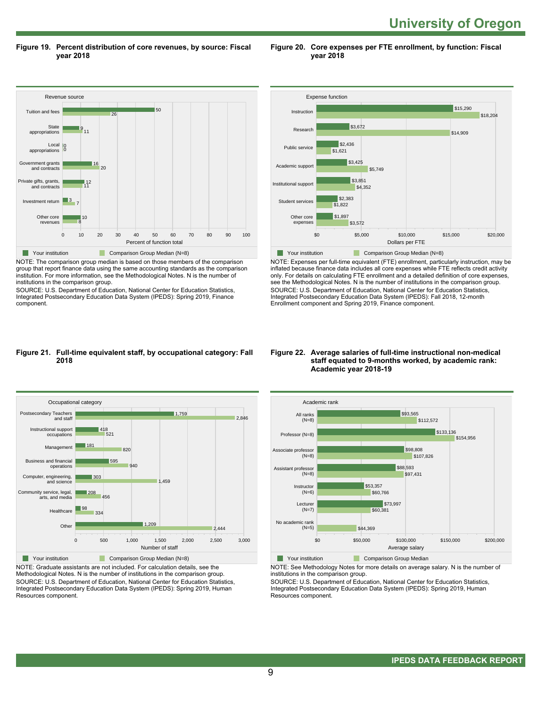**University of Oregon** 

**Figure 19. Percent distribution of core revenues, by source: Fiscal year 2018**

**Figure 20. Core expenses per FTE enrollment, by function: Fiscal year 2018**



NOTE: The comparison group median is based on those members of the comparison group that report finance data using the same accounting standards as the comparison institution. For more information, see the Methodological Notes. N is the number of institutions in the comparison group.

SOURCE: U.S. Department of Education, National Center for Education Statistics, Integrated Postsecondary Education Data System (IPEDS): Spring 2019, Finance component.



NOTE: Expenses per full-time equivalent (FTE) enrollment, particularly instruction, may be inflated because finance data includes all core expenses while FTE reflects credit activity only. For details on calculating FTE enrollment and a detailed definition of core expenses, see the Methodological Notes. N is the number of institutions in the comparison group. SOURCE: U.S. Department of Education, National Center for Education Statistics, Integrated Postsecondary Education Data System (IPEDS): Fall 2018, 12-month Enrollment component and Spring 2019, Finance component.

#### **Figure 21. Full-time equivalent staff, by occupational category: Fall 2018**



NOTE: Graduate assistants are not included. For calculation details, see the Methodological Notes. N is the number of institutions in the comparison group. SOURCE: U.S. Department of Education, National Center for Education Statistics, Integrated Postsecondary Education Data System (IPEDS): Spring 2019, Human Resources component.

#### **Figure 22. Average salaries of full-time instructional non-medical staff equated to 9-months worked, by academic rank: Academic year 2018-19**



**The Comparison Group Median** 

NOTE: See Methodology Notes for more details on average salary. N is the number of institutions in the comparison group.

SOURCE: U.S. Department of Education, National Center for Education Statistics, Integrated Postsecondary Education Data System (IPEDS): Spring 2019, Human Resources component.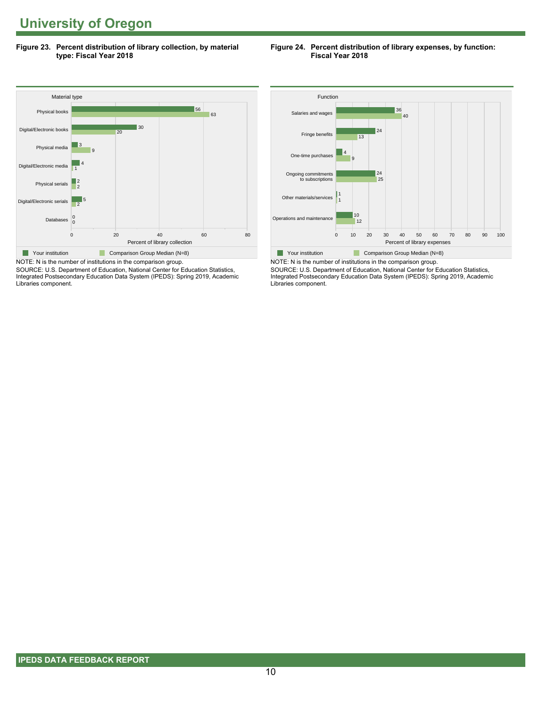**Figure 23. Percent distribution of library collection, by material type: Fiscal Year 2018**

# **Figure 24. Percent distribution of library expenses, by function: Fiscal Year 2018**



SOURCE: U.S. Department of Education, National Center for Education Statistics, Integrated Postsecondary Education Data System (IPEDS): Spring 2019, Academic Libraries component.



NOTE: N is the number of institutions in the comparison group. SOURCE: U.S. Department of Education, National Center for Education Statistics, Integrated Postsecondary Education Data System (IPEDS): Spring 2019, Academic Libraries component.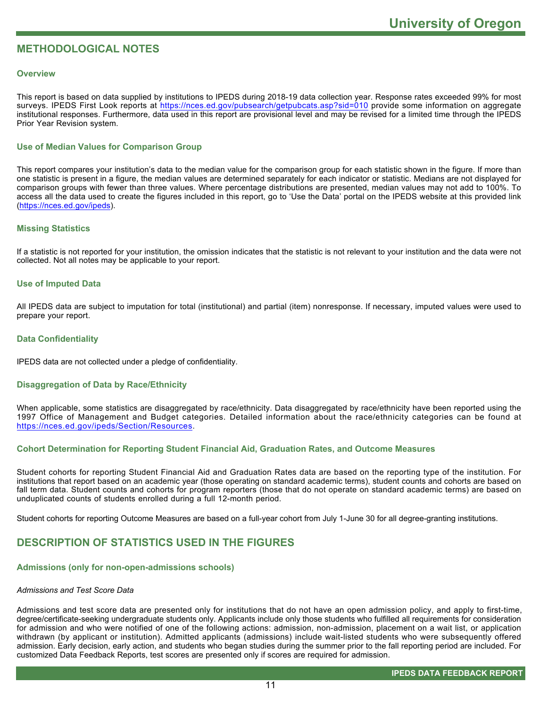# **METHODOLOGICAL NOTES**

# **Overview**

This report is based on data supplied by institutions to IPEDS during 2018-19 data collection year. Response rates exceeded 99% for most surveys. IPEDS First Look reports at<https://nces.ed.gov/pubsearch/getpubcats.asp?sid=010> provide some information on aggregate institutional responses. Furthermore, data used in this report are provisional level and may be revised for a limited time through the IPEDS Prior Year Revision system.

# **Use of Median Values for Comparison Group**

This report compares your institution's data to the median value for the comparison group for each statistic shown in the figure. If more than one statistic is present in a figure, the median values are determined separately for each indicator or statistic. Medians are not displayed for comparison groups with fewer than three values. Where percentage distributions are presented, median values may not add to 100%. To access all the data used to create the figures included in this report, go to 'Use the Data' portal on the IPEDS website at this provided link ([https://nces.ed.gov/ipeds\)](https://nces.ed.gov/ipeds).

# **Missing Statistics**

If a statistic is not reported for your institution, the omission indicates that the statistic is not relevant to your institution and the data were not collected. Not all notes may be applicable to your report.

# **Use of Imputed Data**

All IPEDS data are subject to imputation for total (institutional) and partial (item) nonresponse. If necessary, imputed values were used to prepare your report.

# **Data Confidentiality**

IPEDS data are not collected under a pledge of confidentiality.

## **Disaggregation of Data by Race/Ethnicity**

When applicable, some statistics are disaggregated by race/ethnicity. Data disaggregated by race/ethnicity have been reported using the 1997 Office of Management and Budget categories. Detailed information about the race/ethnicity categories can be found at <https://nces.ed.gov/ipeds/Section/Resources>.

# **Cohort Determination for Reporting Student Financial Aid, Graduation Rates, and Outcome Measures**

Student cohorts for reporting Student Financial Aid and Graduation Rates data are based on the reporting type of the institution. For institutions that report based on an academic year (those operating on standard academic terms), student counts and cohorts are based on fall term data. Student counts and cohorts for program reporters (those that do not operate on standard academic terms) are based on unduplicated counts of students enrolled during a full 12-month period.

Student cohorts for reporting Outcome Measures are based on a full-year cohort from July 1-June 30 for all degree-granting institutions.

# **DESCRIPTION OF STATISTICS USED IN THE FIGURES**

# **Admissions (only for non-open-admissions schools)**

## *Admissions and Test Score Data*

Admissions and test score data are presented only for institutions that do not have an open admission policy, and apply to first-time, degree/certificate-seeking undergraduate students only. Applicants include only those students who fulfilled all requirements for consideration for admission and who were notified of one of the following actions: admission, non-admission, placement on a wait list, or application withdrawn (by applicant or institution). Admitted applicants (admissions) include wait-listed students who were subsequently offered admission. Early decision, early action, and students who began studies during the summer prior to the fall reporting period are included. For customized Data Feedback Reports, test scores are presented only if scores are required for admission.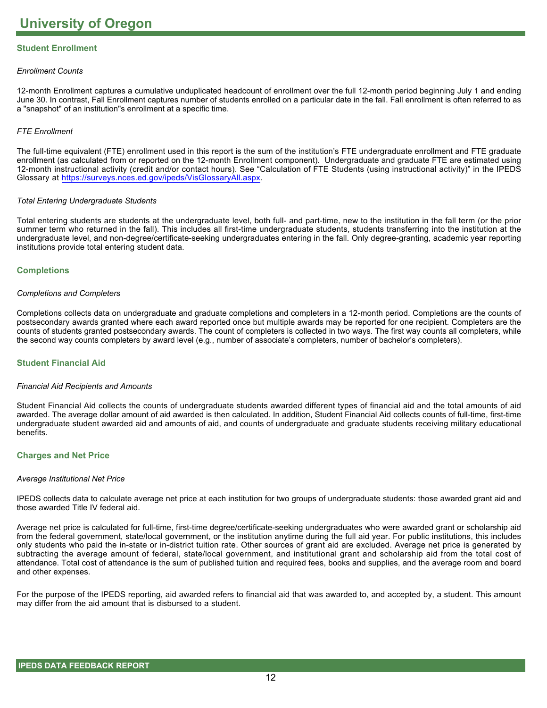# **Student Enrollment**

# *Enrollment Counts*

12-month Enrollment captures a cumulative unduplicated headcount of enrollment over the full 12-month period beginning July 1 and ending June 30. In contrast, Fall Enrollment captures number of students enrolled on a particular date in the fall. Fall enrollment is often referred to as a "snapshot" of an institution"s enrollment at a specific time.

# *FTE Enrollment*

The full-time equivalent (FTE) enrollment used in this report is the sum of the institution's FTE undergraduate enrollment and FTE graduate enrollment (as calculated from or reported on the 12-month Enrollment component). Undergraduate and graduate FTE are estimated using 12-month instructional activity (credit and/or contact hours). See "Calculation of FTE Students (using instructional activity)" in the IPEDS Glossary at <https://surveys.nces.ed.gov/ipeds/VisGlossaryAll.aspx>.

# *Total Entering Undergraduate Students*

Total entering students are students at the undergraduate level, both full- and part-time, new to the institution in the fall term (or the prior summer term who returned in the fall). This includes all first-time undergraduate students, students transferring into the institution at the undergraduate level, and non-degree/certificate-seeking undergraduates entering in the fall. Only degree-granting, academic year reporting institutions provide total entering student data.

# **Completions**

## *Completions and Completers*

Completions collects data on undergraduate and graduate completions and completers in a 12-month period. Completions are the counts of postsecondary awards granted where each award reported once but multiple awards may be reported for one recipient. Completers are the counts of students granted postsecondary awards. The count of completers is collected in two ways. The first way counts all completers, while the second way counts completers by award level (e.g., number of associate's completers, number of bachelor's completers).

## **Student Financial Aid**

## *Financial Aid Recipients and Amounts*

Student Financial Aid collects the counts of undergraduate students awarded different types of financial aid and the total amounts of aid awarded. The average dollar amount of aid awarded is then calculated. In addition, Student Financial Aid collects counts of full-time, first-time undergraduate student awarded aid and amounts of aid, and counts of undergraduate and graduate students receiving military educational benefits.

## **Charges and Net Price**

## *Average Institutional Net Price*

IPEDS collects data to calculate average net price at each institution for two groups of undergraduate students: those awarded grant aid and those awarded Title IV federal aid.

Average net price is calculated for full-time, first-time degree/certificate-seeking undergraduates who were awarded grant or scholarship aid from the federal government, state/local government, or the institution anytime during the full aid year. For public institutions, this includes only students who paid the in-state or in-district tuition rate. Other sources of grant aid are excluded. Average net price is generated by subtracting the average amount of federal, state/local government, and institutional grant and scholarship aid from the total cost of attendance. Total cost of attendance is the sum of published tuition and required fees, books and supplies, and the average room and board and other expenses.

For the purpose of the IPEDS reporting, aid awarded refers to financial aid that was awarded to, and accepted by, a student. This amount may differ from the aid amount that is disbursed to a student.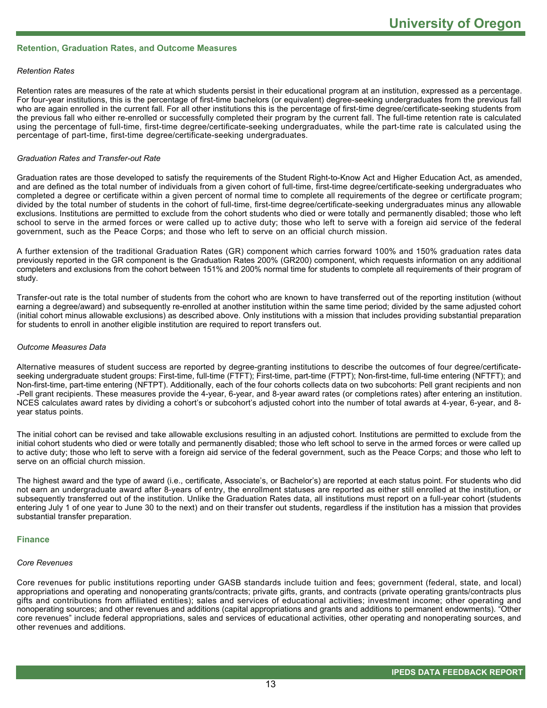# **Retention, Graduation Rates, and Outcome Measures**

### *Retention Rates*

Retention rates are measures of the rate at which students persist in their educational program at an institution, expressed as a percentage. For four-year institutions, this is the percentage of first-time bachelors (or equivalent) degree-seeking undergraduates from the previous fall who are again enrolled in the current fall. For all other institutions this is the percentage of first-time degree/certificate-seeking students from the previous fall who either re-enrolled or successfully completed their program by the current fall. The full-time retention rate is calculated using the percentage of full-time, first-time degree/certificate-seeking undergraduates, while the part-time rate is calculated using the percentage of part-time, first-time degree/certificate-seeking undergraduates.

#### *Graduation Rates and Transfer-out Rate*

Graduation rates are those developed to satisfy the requirements of the Student Right-to-Know Act and Higher Education Act, as amended, and are defined as the total number of individuals from a given cohort of full-time, first-time degree/certificate-seeking undergraduates who completed a degree or certificate within a given percent of normal time to complete all requirements of the degree or certificate program; divided by the total number of students in the cohort of full-time, first-time degree/certificate-seeking undergraduates minus any allowable exclusions. Institutions are permitted to exclude from the cohort students who died or were totally and permanently disabled; those who left school to serve in the armed forces or were called up to active duty; those who left to serve with a foreign aid service of the federal government, such as the Peace Corps; and those who left to serve on an official church mission.

A further extension of the traditional Graduation Rates (GR) component which carries forward 100% and 150% graduation rates data previously reported in the GR component is the Graduation Rates 200% (GR200) component, which requests information on any additional completers and exclusions from the cohort between 151% and 200% normal time for students to complete all requirements of their program of study.

Transfer-out rate is the total number of students from the cohort who are known to have transferred out of the reporting institution (without earning a degree/award) and subsequently re-enrolled at another institution within the same time period; divided by the same adjusted cohort (initial cohort minus allowable exclusions) as described above. Only institutions with a mission that includes providing substantial preparation for students to enroll in another eligible institution are required to report transfers out.

#### *Outcome Measures Data*

Alternative measures of student success are reported by degree-granting institutions to describe the outcomes of four degree/certificateseeking undergraduate student groups: First-time, full-time (FTFT); First-time, part-time (FTPT); Non-first-time, full-time entering (NFTFT); and Non-first-time, part-time entering (NFTPT). Additionally, each of the four cohorts collects data on two subcohorts: Pell grant recipients and non -Pell grant recipients. These measures provide the 4-year, 6-year, and 8-year award rates (or completions rates) after entering an institution. NCES calculates award rates by dividing a cohort's or subcohort's adjusted cohort into the number of total awards at 4-year, 6-year, and 8year status points.

The initial cohort can be revised and take allowable exclusions resulting in an adjusted cohort. Institutions are permitted to exclude from the initial cohort students who died or were totally and permanently disabled; those who left school to serve in the armed forces or were called up to active duty; those who left to serve with a foreign aid service of the federal government, such as the Peace Corps; and those who left to serve on an official church mission.

The highest award and the type of award (i.e., certificate, Associate's, or Bachelor's) are reported at each status point. For students who did not earn an undergraduate award after 8-years of entry, the enrollment statuses are reported as either still enrolled at the institution, or subsequently transferred out of the institution. Unlike the Graduation Rates data, all institutions must report on a full-year cohort (students entering July 1 of one year to June 30 to the next) and on their transfer out students, regardless if the institution has a mission that provides substantial transfer preparation.

#### **Finance**

#### *Core Revenues*

Core revenues for public institutions reporting under GASB standards include tuition and fees; government (federal, state, and local) appropriations and operating and nonoperating grants/contracts; private gifts, grants, and contracts (private operating grants/contracts plus gifts and contributions from affiliated entities); sales and services of educational activities; investment income; other operating and nonoperating sources; and other revenues and additions (capital appropriations and grants and additions to permanent endowments). "Other core revenues" include federal appropriations, sales and services of educational activities, other operating and nonoperating sources, and other revenues and additions.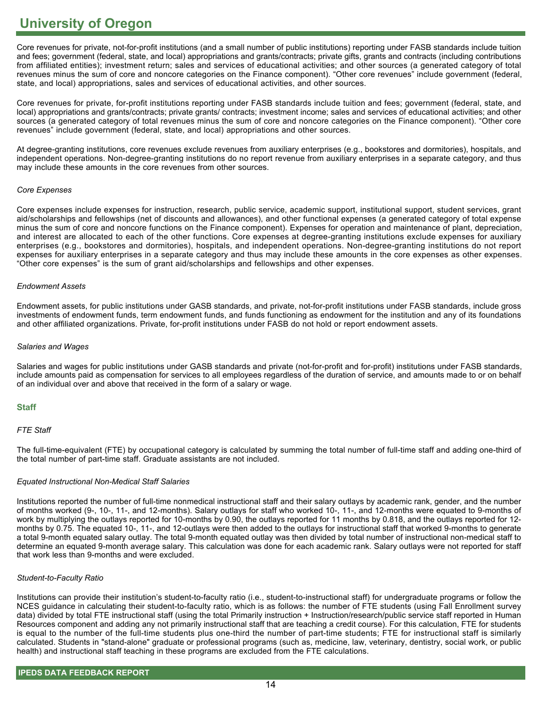Core revenues for private, not-for-profit institutions (and a small number of public institutions) reporting under FASB standards include tuition and fees; government (federal, state, and local) appropriations and grants/contracts; private gifts, grants and contracts (including contributions from affiliated entities); investment return; sales and services of educational activities; and other sources (a generated category of total revenues minus the sum of core and noncore categories on the Finance component). "Other core revenues" include government (federal, state, and local) appropriations, sales and services of educational activities, and other sources.

Core revenues for private, for-profit institutions reporting under FASB standards include tuition and fees; government (federal, state, and local) appropriations and grants/contracts; private grants/ contracts; investment income; sales and services of educational activities; and other sources (a generated category of total revenues minus the sum of core and noncore categories on the Finance component). "Other core revenues" include government (federal, state, and local) appropriations and other sources.

At degree-granting institutions, core revenues exclude revenues from auxiliary enterprises (e.g., bookstores and dormitories), hospitals, and independent operations. Non-degree-granting institutions do no report revenue from auxiliary enterprises in a separate category, and thus may include these amounts in the core revenues from other sources.

# *Core Expenses*

Core expenses include expenses for instruction, research, public service, academic support, institutional support, student services, grant aid/scholarships and fellowships (net of discounts and allowances), and other functional expenses (a generated category of total expense minus the sum of core and noncore functions on the Finance component). Expenses for operation and maintenance of plant, depreciation, and interest are allocated to each of the other functions. Core expenses at degree-granting institutions exclude expenses for auxiliary enterprises (e.g., bookstores and dormitories), hospitals, and independent operations. Non-degree-granting institutions do not report expenses for auxiliary enterprises in a separate category and thus may include these amounts in the core expenses as other expenses. "Other core expenses" is the sum of grant aid/scholarships and fellowships and other expenses.

## *Endowment Assets*

Endowment assets, for public institutions under GASB standards, and private, not-for-profit institutions under FASB standards, include gross investments of endowment funds, term endowment funds, and funds functioning as endowment for the institution and any of its foundations and other affiliated organizations. Private, for-profit institutions under FASB do not hold or report endowment assets.

## *Salaries and Wages*

Salaries and wages for public institutions under GASB standards and private (not-for-profit and for-profit) institutions under FASB standards, include amounts paid as compensation for services to all employees regardless of the duration of service, and amounts made to or on behalf of an individual over and above that received in the form of a salary or wage.

# **Staff**

# *FTE Staff*

The full-time-equivalent (FTE) by occupational category is calculated by summing the total number of full-time staff and adding one-third of the total number of part-time staff. Graduate assistants are not included.

# *Equated Instructional Non-Medical Staff Salaries*

Institutions reported the number of full-time nonmedical instructional staff and their salary outlays by academic rank, gender, and the number of months worked (9-, 10-, 11-, and 12-months). Salary outlays for staff who worked 10-, 11-, and 12-months were equated to 9-months of work by multiplying the outlays reported for 10-months by 0.90, the outlays reported for 11 months by 0.818, and the outlays reported for 12 months by 0.75. The equated 10-, 11-, and 12-outlays were then added to the outlays for instructional staff that worked 9-months to generate a total 9-month equated salary outlay. The total 9-month equated outlay was then divided by total number of instructional non-medical staff to determine an equated 9-month average salary. This calculation was done for each academic rank. Salary outlays were not reported for staff that work less than 9-months and were excluded.

# *Student-to-Faculty Ratio*

Institutions can provide their institution's student-to-faculty ratio (i.e., student-to-instructional staff) for undergraduate programs or follow the NCES guidance in calculating their student-to-faculty ratio, which is as follows: the number of FTE students (using Fall Enrollment survey data) divided by total FTE instructional staff (using the total Primarily instruction + Instruction/research/public service staff reported in Human Resources component and adding any not primarily instructional staff that are teaching a credit course). For this calculation, FTE for students is equal to the number of the full-time students plus one-third the number of part-time students; FTE for instructional staff is similarly calculated. Students in "stand-alone" graduate or professional programs (such as, medicine, law, veterinary, dentistry, social work, or public health) and instructional staff teaching in these programs are excluded from the FTE calculations.